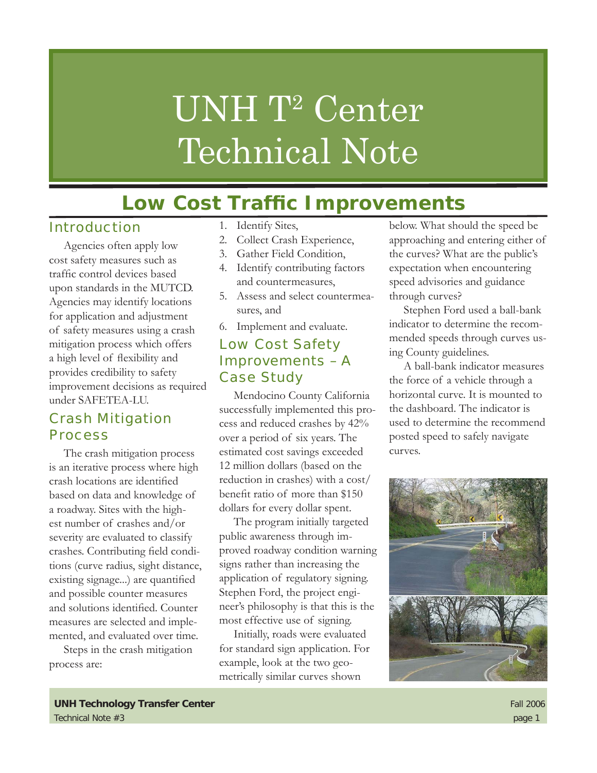# UNH T<sup>2</sup> Center Technical Note

## **Low Cost Traffic Improvements**

#### Introduction

Agencies often apply low cost safety measures such as traffic control devices based upon standards in the MUTCD. Agencies may identify locations for application and adjustment of safety measures using a crash mitigation process which offers a high level of flexibility and provides credibility to safety improvement decisions as required under SAFETEA-LU.

#### Crash Mitigation **Process**

The crash mitigation process is an iterative process where high crash locations are identified based on data and knowledge of a roadway. Sites with the highest number of crashes and/or severity are evaluated to classify crashes. Contributing field conditions (curve radius, sight distance, existing signage...) are quantified and possible counter measures and solutions identified. Counter measures are selected and implemented, and evaluated over time.

Steps in the crash mitigation process are:

- 1. Identify Sites,
- 2. Collect Crash Experience,
- 3. Gather Field Condition,
- 4. Identify contributing factors and countermeasures,
- Assess and select countermea-5. sures, and
- Implement and evaluate. 6.

#### Low Cost Safety Improvements – A Case Study

Mendocino County California successfully implemented this process and reduced crashes by 42% over a period of six years. The estimated cost savings exceeded 12 million dollars (based on the reduction in crashes) with a cost/ benefit ratio of more than \$150 dollars for every dollar spent.

The program initially targeted public awareness through improved roadway condition warning signs rather than increasing the application of regulatory signing. Stephen Ford, the project engineer's philosophy is that this is the most effective use of signing.

Initially, roads were evaluated for standard sign application. For example, look at the two geometrically similar curves shown

below. What should the speed be approaching and entering either of the curves? What are the public's expectation when encountering speed advisories and guidance through curves?

Stephen Ford used a ball-bank indicator to determine the recommended speeds through curves using County guidelines.

A ball-bank indicator measures the force of a vehicle through a horizontal curve. It is mounted to the dashboard. The indicator is used to determine the recommend posted speed to safely navigate curves.

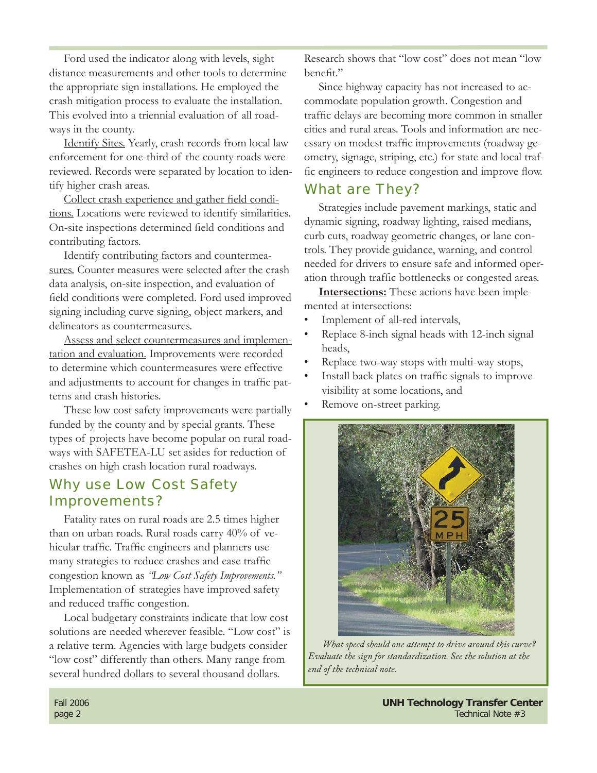Ford used the indicator along with levels, sight distance measurements and other tools to determine the appropriate sign installations. He employed the crash mitigation process to evaluate the installation. This evolved into a triennial evaluation of all roadways in the county.

Identify Sites. Yearly, crash records from local law enforcement for one-third of the county roads were reviewed. Records were separated by location to identify higher crash areas.

Collect crash experience and gather field conditions. Locations were reviewed to identify similarities. On-site inspections determined field conditions and contributing factors.

Identify contributing factors and countermeasures. Counter measures were selected after the crash data analysis, on-site inspection, and evaluation of field conditions were completed. Ford used improved signing including curve signing, object markers, and delineators as countermeasures.

Assess and select countermeasures and implementation and evaluation. Improvements were recorded to determine which countermeasures were effective and adjustments to account for changes in traffic patterns and crash histories.

These low cost safety improvements were partially funded by the county and by special grants. These types of projects have become popular on rural roadways with SAFETEA-LU set asides for reduction of crashes on high crash location rural roadways.

#### Why use Low Cost Safety Improvements?

Fatality rates on rural roads are 2.5 times higher than on urban roads. Rural roads carry 40% of vehicular traffic. Traffic engineers and planners use many strategies to reduce crashes and ease traffic congestion known as *"Low Cost Safety Improvements."* Implementation of strategies have improved safety and reduced traffic congestion.

Local budgetary constraints indicate that low cost solutions are needed wherever feasible. "Low cost" is a relative term. Agencies with large budgets consider "low cost" differently than others. Many range from several hundred dollars to several thousand dollars.

Research shows that "low cost" does not mean "low benefit"

Since highway capacity has not increased to accommodate population growth. Congestion and traffic delays are becoming more common in smaller cities and rural areas. Tools and information are necessary on modest traffic improvements (roadway geometry, signage, striping, etc.) for state and local traffic engineers to reduce congestion and improve flow.

#### What are They?

Strategies include pavement markings, static and dynamic signing, roadway lighting, raised medians, curb cuts, roadway geometric changes, or lane controls. They provide guidance, warning, and control needed for drivers to ensure safe and informed operation through traffic bottlenecks or congested areas.

**Intersections:** These actions have been implemented at intersections:

- Implement of all-red intervals, •
- Replace 8-inch signal heads with 12-inch signal heads, •
- Replace two-way stops with multi-way stops, •
- Install back plates on traffic signals to improve visibility at some locations, and •
- Remove on-street parking. •



*What speed should one attempt to drive around this curve? Evaluate the sign for standardization. See the solution at the end of the technical note.*

Fall 2006 **UNH Technology Transfer Center** page 2 Technical Note #3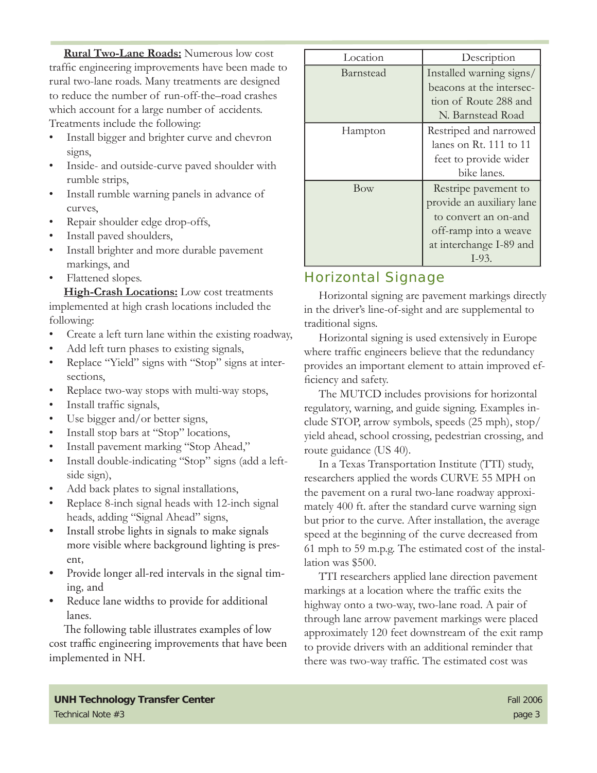**Rural Two-Lane Roads:** Numerous low cost traffic engineering improvements have been made to rural two-lane roads. Many treatments are designed to reduce the number of run-off-the–road crashes which account for a large number of accidents. Treatments include the following:

- Install bigger and brighter curve and chevron signs, •
- Inside- and outside-curve paved shoulder with rumble strips, •
- Install rumble warning panels in advance of curves, •
- Repair shoulder edge drop-offs, •
- Install paved shoulders, •
- Install brighter and more durable pavement markings, and •
- Flattened slopes. •

**High-Crash Locations:** Low cost treatments implemented at high crash locations included the following:

- Create a left turn lane within the existing roadway, •
- Add left turn phases to existing signals, •
- Replace "Yield" signs with "Stop" signs at intersections, •
- Replace two-way stops with multi-way stops, •
- Install traffic signals, •
- Use bigger and/or better signs, •
- Install stop bars at "Stop" locations, •
- Install pavement marking "Stop Ahead," •
- Install double-indicating "Stop" signs (add a leftside sign), •
- Add back plates to signal installations, •
- Replace 8-inch signal heads with 12-inch signal heads, adding "Signal Ahead" signs, •
- Install strobe lights in signals to make signals more visible where background lighting is present, •
- Provide longer all-red intervals in the signal timing, and •
- Reduce lane widths to provide for additional lanes. •

The following table illustrates examples of low cost traffic engineering improvements that have been implemented in NH.

| Location  | Description               |
|-----------|---------------------------|
| Barnstead | Installed warning signs/  |
|           | beacons at the intersec-  |
|           | tion of Route 288 and     |
|           | N. Barnstead Road         |
| Hampton   | Restriped and narrowed    |
|           | lanes on Rt. 111 to 11    |
|           | feet to provide wider     |
|           | bike lanes.               |
| Bow       | Restripe pavement to      |
|           | provide an auxiliary lane |
|           | to convert an on-and      |
|           | off-ramp into a weave     |
|           | at interchange I-89 and   |
|           | $I-93.$                   |

#### Horizontal Signage

Horizontal signing are pavement markings directly in the driver's line-of-sight and are supplemental to traditional signs.

Horizontal signing is used extensively in Europe where traffic engineers believe that the redundancy provides an important element to attain improved efficiency and safety.

The MUTCD includes provisions for horizontal regulatory, warning, and guide signing. Examples include STOP, arrow symbols, speeds (25 mph), stop/ yield ahead, school crossing, pedestrian crossing, and route guidance (US 40).

In a Texas Transportation Institute (TTI) study, researchers applied the words CURVE 55 MPH on the pavement on a rural two-lane roadway approximately 400 ft. after the standard curve warning sign but prior to the curve. After installation, the average speed at the beginning of the curve decreased from 61 mph to 59 m.p.g. The estimated cost of the installation was \$500.

TTI researchers applied lane direction pavement markings at a location where the traffic exits the highway onto a two-way, two-lane road. A pair of through lane arrow pavement markings were placed approximately 120 feet downstream of the exit ramp to provide drivers with an additional reminder that there was two-way traffic. The estimated cost was